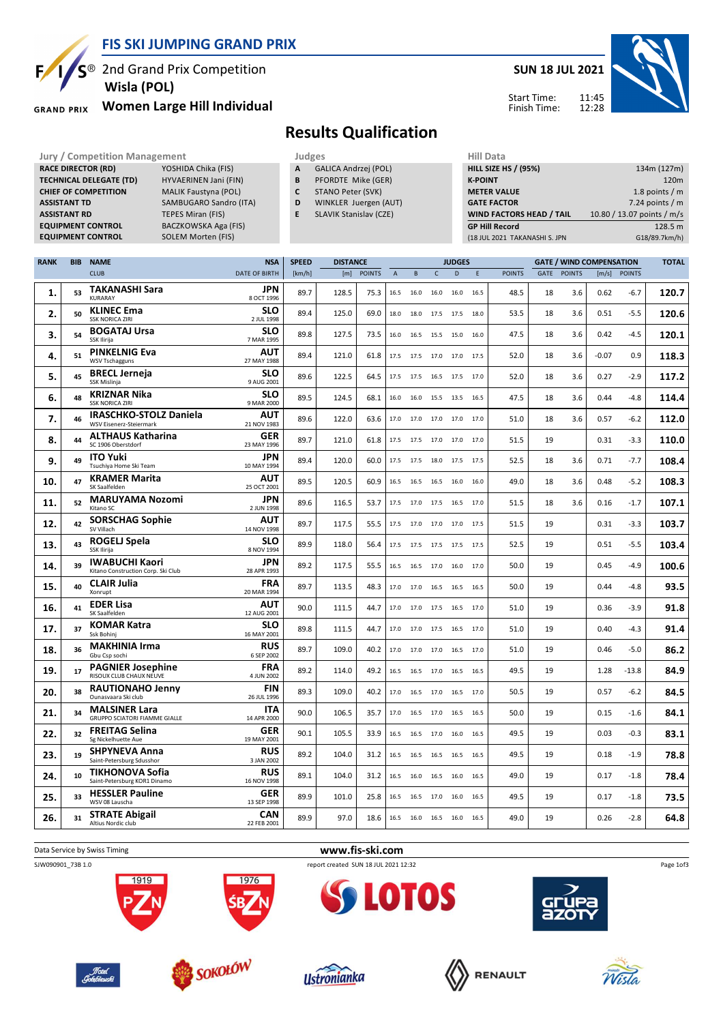

**RACE DIRECTOR (RD)** 

**BACZKOWSKA Aga (FIS)** 

<sup>®</sup> 2nd Grand Prix Competition  **Wisla (POL)**

**Women Large Hill Individual GRAND PRIX** 

**TECHNICAL DELEGATE (TD)** HYVAERINEN Jani (FIN) **CHIEF OF COMPETITION** MALIK Faustyna (POL) **ASSISTANT TD** SAMBUGARO Sandro (ITA) **ASSISTANT RD** TEPES Miran (FIS)<br>**EQUIPMENT CONTROL** BACZKOWSKA Aga

**EQUIPMENT CONTROL** SOLEM Morten (FIS)

## **SUN 18 JUL 2021**



Start Time: Finish Time:

## **Results Qualification**

- **Jury / Competition Management Judges Judges Hill Data**<br> **RACE DIRECTOR (RD)** YOSHIDA Chika (FIS) **A** GALICA Andrzej (POL) **HILL SIZE HILL SIZE F A** GALICA Andrzej (POL)
	- **B** PFORDTE Mike (GER)
	- **C** STANO Peter (SVK)
	- **D** WINKLER Juergen (AUT)
	- **E** SLAVIK Stanislav (CZE)

| <b>HILL SIZE HS / (95%)</b><br>134m (127m)<br><b>K-POINT</b><br>120 <sub>m</sub><br>1.8 points $/m$<br><b>METER VALUE</b> |
|---------------------------------------------------------------------------------------------------------------------------|
|                                                                                                                           |
|                                                                                                                           |
|                                                                                                                           |
| 7.24 points $/m$<br><b>GATE FACTOR</b>                                                                                    |
| 10.80 / 13.07 points / m/s<br>WIND FACTORS HEAD / TAIL                                                                    |
| <b>GP Hill Record</b><br>128.5 m                                                                                          |
| G18/89.7km/h)<br>(18 JUL 2021 TAKANASHI S. JPN                                                                            |

| <b>CLUB</b><br><b>DATE OF BIRTH</b><br>[km/h]<br>[m]<br>$\mathsf{C}$<br>D<br><b>POINTS</b><br>GATE<br><b>POINTS</b><br><b>POINTS</b><br>$\overline{A}$<br>B<br>E<br><b>TAKANASHI Sara</b><br>JPN<br>53<br>89.7<br>128.5<br>75.3<br>48.5<br>18<br>3.6<br>1.<br>16.5<br>16.0<br>16.0<br>16.0<br>16.5<br><b>KURARAY</b><br>8 OCT 1996<br><b>SLO</b><br><b>KLINEC Ema</b><br>2.<br>50<br>89.4<br>125.0<br>69.0<br>18.0<br>18.0<br>53.5<br>18<br>3.6<br>17.5 17.5<br>18.0<br><b>SSK NORICA ZIRI</b><br>2 JUL 1998<br><b>SLO</b><br><b>BOGATAJ Ursa</b><br>3.<br>54<br>89.8<br>127.5<br>47.5<br>18<br>3.6<br>73.5<br>16.0<br>16.5<br>15.5<br>15.0<br>16.0<br>SSK Ilirija<br>7 MAR 1995<br><b>PINKELNIG Eva</b><br><b>AUT</b><br>4.<br>51<br>89.4<br>121.0<br>18<br>3.6<br>61.8<br>17.5<br>52.0<br>17.5<br>17.0<br>17.0<br>17.5<br>27 MAY 1988<br><b>WSV Tschagguns</b><br><b>BRECL Jerneja</b><br><b>SLO</b><br>5.<br>122.5<br>18<br>3.6<br>45<br>89.6<br>64.5<br>17.5<br>52.0<br>17.5<br>16.5 17.5 17.0<br>SSK Mislinja<br>9 AUG 2001<br><b>KRIZNAR Nika</b><br><b>SLO</b><br>48<br>89.5<br>47.5<br>18<br>6.<br>124.5<br>68.1<br>16.0<br>16.0<br>3.6<br>15.5<br>13.5<br>16.5<br><b>SSK NORICA ZIRI</b><br>9 MAR 2000<br><b>IRASCHKO-STOLZ Daniela</b><br><b>AUT</b><br>7.<br>122.0<br>18<br>46<br>89.6<br>63.6<br>17.0<br>17.0<br>17.0 17.0<br>17.0<br>51.0<br>3.6<br>WSV Eisenerz-Steiermark<br>21 NOV 1983<br><b>ALTHAUS Katharina</b><br><b>GER</b><br>8.<br>44<br>89.7<br>121.0<br>61.8<br>19<br>17.5<br>17.5<br>17.0 17.0 17.0<br>51.5<br>SC 1906 Oberstdorf<br>23 MAY 1996<br><b>ITO Yuki</b><br>JPN<br>9.<br>49<br>120.0<br>18<br>89.4<br>60.0<br>17.5<br>17.5<br>52.5<br>3.6<br>18.0<br>17.5 17.5<br>Tsuchiya Home Ski Team<br>10 MAY 1994 | [m/s]<br><b>POINTS</b> |       |
|-----------------------------------------------------------------------------------------------------------------------------------------------------------------------------------------------------------------------------------------------------------------------------------------------------------------------------------------------------------------------------------------------------------------------------------------------------------------------------------------------------------------------------------------------------------------------------------------------------------------------------------------------------------------------------------------------------------------------------------------------------------------------------------------------------------------------------------------------------------------------------------------------------------------------------------------------------------------------------------------------------------------------------------------------------------------------------------------------------------------------------------------------------------------------------------------------------------------------------------------------------------------------------------------------------------------------------------------------------------------------------------------------------------------------------------------------------------------------------------------------------------------------------------------------------------------------------------------------------------------------------------------------------------------------------------------------------------------------------------------------|------------------------|-------|
|                                                                                                                                                                                                                                                                                                                                                                                                                                                                                                                                                                                                                                                                                                                                                                                                                                                                                                                                                                                                                                                                                                                                                                                                                                                                                                                                                                                                                                                                                                                                                                                                                                                                                                                                               |                        |       |
|                                                                                                                                                                                                                                                                                                                                                                                                                                                                                                                                                                                                                                                                                                                                                                                                                                                                                                                                                                                                                                                                                                                                                                                                                                                                                                                                                                                                                                                                                                                                                                                                                                                                                                                                               | 0.62<br>$-6.7$         | 120.7 |
|                                                                                                                                                                                                                                                                                                                                                                                                                                                                                                                                                                                                                                                                                                                                                                                                                                                                                                                                                                                                                                                                                                                                                                                                                                                                                                                                                                                                                                                                                                                                                                                                                                                                                                                                               | 0.51<br>-5.5           | 120.6 |
|                                                                                                                                                                                                                                                                                                                                                                                                                                                                                                                                                                                                                                                                                                                                                                                                                                                                                                                                                                                                                                                                                                                                                                                                                                                                                                                                                                                                                                                                                                                                                                                                                                                                                                                                               | $-4.5$<br>0.42         | 120.1 |
|                                                                                                                                                                                                                                                                                                                                                                                                                                                                                                                                                                                                                                                                                                                                                                                                                                                                                                                                                                                                                                                                                                                                                                                                                                                                                                                                                                                                                                                                                                                                                                                                                                                                                                                                               | $-0.07$<br>0.9         | 118.3 |
|                                                                                                                                                                                                                                                                                                                                                                                                                                                                                                                                                                                                                                                                                                                                                                                                                                                                                                                                                                                                                                                                                                                                                                                                                                                                                                                                                                                                                                                                                                                                                                                                                                                                                                                                               | 0.27<br>$-2.9$         | 117.2 |
|                                                                                                                                                                                                                                                                                                                                                                                                                                                                                                                                                                                                                                                                                                                                                                                                                                                                                                                                                                                                                                                                                                                                                                                                                                                                                                                                                                                                                                                                                                                                                                                                                                                                                                                                               | 0.44<br>$-4.8$         | 114.4 |
|                                                                                                                                                                                                                                                                                                                                                                                                                                                                                                                                                                                                                                                                                                                                                                                                                                                                                                                                                                                                                                                                                                                                                                                                                                                                                                                                                                                                                                                                                                                                                                                                                                                                                                                                               | 0.57<br>$-6.2$         | 112.0 |
|                                                                                                                                                                                                                                                                                                                                                                                                                                                                                                                                                                                                                                                                                                                                                                                                                                                                                                                                                                                                                                                                                                                                                                                                                                                                                                                                                                                                                                                                                                                                                                                                                                                                                                                                               | 0.31<br>$-3.3$         | 110.0 |
|                                                                                                                                                                                                                                                                                                                                                                                                                                                                                                                                                                                                                                                                                                                                                                                                                                                                                                                                                                                                                                                                                                                                                                                                                                                                                                                                                                                                                                                                                                                                                                                                                                                                                                                                               | 0.71<br>$-7.7$         | 108.4 |
| <b>KRAMER Marita</b><br><b>AUT</b><br>10.<br>47<br>89.5<br>120.5<br>60.9<br>49.0<br>18<br>3.6<br>16.5<br>16.5<br>16.5<br>16.0<br>16.0<br>25 OCT 2001<br>SK Saalfelden                                                                                                                                                                                                                                                                                                                                                                                                                                                                                                                                                                                                                                                                                                                                                                                                                                                                                                                                                                                                                                                                                                                                                                                                                                                                                                                                                                                                                                                                                                                                                                         | 0.48<br>$-5.2$         | 108.3 |
| <b>MARUYAMA Nozomi</b><br><b>JPN</b><br>11.<br>52<br>89.6<br>116.5<br>18<br>3.6<br>53.7<br>17.5<br>17.0<br>17.5<br>16.5<br>17.0<br>51.5<br>2 JUN 1998<br>Kitano SC                                                                                                                                                                                                                                                                                                                                                                                                                                                                                                                                                                                                                                                                                                                                                                                                                                                                                                                                                                                                                                                                                                                                                                                                                                                                                                                                                                                                                                                                                                                                                                            | 0.16<br>$-1.7$         | 107.1 |
| <b>SORSCHAG Sophie</b><br><b>AUT</b><br>42<br>12.<br>89.7<br>117.5<br>19<br>55.5<br>51.5<br>17.5<br>17.0 17.0 17.0 17.5<br>SV Villach<br>14 NOV 1998                                                                                                                                                                                                                                                                                                                                                                                                                                                                                                                                                                                                                                                                                                                                                                                                                                                                                                                                                                                                                                                                                                                                                                                                                                                                                                                                                                                                                                                                                                                                                                                          | $-3.3$<br>0.31         | 103.7 |
| <b>ROGELJ Spela</b><br><b>SLO</b><br>13.<br>43<br>89.9<br>19<br>118.0<br>52.5<br>56.4<br>17.5<br>17.5<br>17.5 17.5 17.5<br>SSK Ilirija<br>8 NOV 1994                                                                                                                                                                                                                                                                                                                                                                                                                                                                                                                                                                                                                                                                                                                                                                                                                                                                                                                                                                                                                                                                                                                                                                                                                                                                                                                                                                                                                                                                                                                                                                                          | 0.51<br>$-5.5$         | 103.4 |
| <b>IWABUCHI Kaori</b><br><b>JPN</b><br>39<br>19<br>14.<br>89.2<br>117.5<br>50.0<br>55.5<br>16.5<br>16.5<br>17.0<br>16.0<br>17.0<br>Kitano Construction Corp. Ski Club<br>28 APR 1993                                                                                                                                                                                                                                                                                                                                                                                                                                                                                                                                                                                                                                                                                                                                                                                                                                                                                                                                                                                                                                                                                                                                                                                                                                                                                                                                                                                                                                                                                                                                                          | 0.45<br>$-4.9$         | 100.6 |
| <b>CLAIR Julia</b><br><b>FRA</b><br>15.<br>40<br>89.7<br>113.5<br>19<br>48.3<br>50.0<br>17.0<br>17.0<br>16.5<br>16.5<br>16.5<br>20 MAR 1994<br>Xonrupt                                                                                                                                                                                                                                                                                                                                                                                                                                                                                                                                                                                                                                                                                                                                                                                                                                                                                                                                                                                                                                                                                                                                                                                                                                                                                                                                                                                                                                                                                                                                                                                        | 0.44<br>$-4.8$         | 93.5  |
| <b>EDER Lisa</b><br><b>AUT</b><br>16.<br>41<br>90.0<br>19<br>111.5<br>44.7<br>51.0<br>17.0<br>17.0<br>17.5 16.5<br>17.0<br>SK Saalfelden<br>12 AUG 2001                                                                                                                                                                                                                                                                                                                                                                                                                                                                                                                                                                                                                                                                                                                                                                                                                                                                                                                                                                                                                                                                                                                                                                                                                                                                                                                                                                                                                                                                                                                                                                                       | 0.36<br>$-3.9$         | 91.8  |
| <b>KOMAR Katra</b><br><b>SLO</b><br>17.<br>37<br>19<br>89.8<br>111.5<br>44.7<br>17.0<br>51.0<br>17.0<br>17.5<br>17.0<br>16.5<br>Ssk Bohini<br>16 MAY 2001                                                                                                                                                                                                                                                                                                                                                                                                                                                                                                                                                                                                                                                                                                                                                                                                                                                                                                                                                                                                                                                                                                                                                                                                                                                                                                                                                                                                                                                                                                                                                                                     | 0.40<br>$-4.3$         | 91.4  |
| <b>MAKHINIA Irma</b><br><b>RUS</b><br>19<br>18.<br>36<br>89.7<br>109.0<br>40.2<br>51.0<br>17.0<br>17.0<br>17.0 16.5<br>17.0<br>Gbu Csp sochi<br>6 SEP 2002                                                                                                                                                                                                                                                                                                                                                                                                                                                                                                                                                                                                                                                                                                                                                                                                                                                                                                                                                                                                                                                                                                                                                                                                                                                                                                                                                                                                                                                                                                                                                                                    | 0.46<br>$-5.0$         | 86.2  |
| <b>FRA</b><br><b>PAGNIER Josephine</b><br>19.<br>17<br>89.2<br>114.0<br>19<br>49.2<br>49.5<br>16.5<br>16.5<br>17.0 16.5 16.5<br>RISOUX CLUB CHAUX NEUVE<br>4 JUN 2002                                                                                                                                                                                                                                                                                                                                                                                                                                                                                                                                                                                                                                                                                                                                                                                                                                                                                                                                                                                                                                                                                                                                                                                                                                                                                                                                                                                                                                                                                                                                                                         | 1.28<br>$-13.8$        | 84.9  |
| <b>RAUTIONAHO Jenny</b><br><b>FIN</b><br>20.<br>89.3<br>109.0<br>40.2<br>50.5<br>19<br>38<br>17.0<br>16.5<br>17.0 16.5<br>17.0<br>Ounasvaara Ski club<br>26 JUL 1996                                                                                                                                                                                                                                                                                                                                                                                                                                                                                                                                                                                                                                                                                                                                                                                                                                                                                                                                                                                                                                                                                                                                                                                                                                                                                                                                                                                                                                                                                                                                                                          | 0.57<br>$-6.2$         | 84.5  |
| <b>ITA</b><br><b>MALSINER Lara</b><br>90.0<br>106.5<br>35.7<br>17.0<br>50.0<br>19<br>21.<br>34<br>16.5<br>17.0 16.5<br>16.5<br>GRUPPO SCIATORI FIAMME GIALLE<br>14 APR 2000                                                                                                                                                                                                                                                                                                                                                                                                                                                                                                                                                                                                                                                                                                                                                                                                                                                                                                                                                                                                                                                                                                                                                                                                                                                                                                                                                                                                                                                                                                                                                                   | 0.15<br>$-1.6$         | 84.1  |
| <b>FREITAG Selina</b><br><b>GER</b><br>90.1<br>105.5<br>19<br>22.<br>32<br>33.9<br>49.5<br>16.5<br>16.5<br>17.0<br>16.0<br>16.5<br>Sg Nickelhuette Aue<br>19 MAY 2001                                                                                                                                                                                                                                                                                                                                                                                                                                                                                                                                                                                                                                                                                                                                                                                                                                                                                                                                                                                                                                                                                                                                                                                                                                                                                                                                                                                                                                                                                                                                                                         | 0.03<br>-0.3           | 83.1  |
| <b>SHPYNEVA Anna</b><br><b>RUS</b><br>104.0<br>19<br>23.<br>89.2<br>31.2<br>49.5<br>19<br>16.5<br>16.5<br>16.5 16.5<br>16.5<br>Saint-Petersburg Sdusshor<br>3 JAN 2002                                                                                                                                                                                                                                                                                                                                                                                                                                                                                                                                                                                                                                                                                                                                                                                                                                                                                                                                                                                                                                                                                                                                                                                                                                                                                                                                                                                                                                                                                                                                                                        | $-1.9$<br>0.18         | 78.8  |
| <b>TIKHONOVA Sofia</b><br><b>RUS</b><br>19<br>89.1<br>104.0<br>31.2<br>49.0<br>24.<br>10<br>16.5<br>16.0<br>16.5<br>16.0<br>16.5<br>Saint-Petersburg KOR1 Dinamo<br>16 NOV 1998                                                                                                                                                                                                                                                                                                                                                                                                                                                                                                                                                                                                                                                                                                                                                                                                                                                                                                                                                                                                                                                                                                                                                                                                                                                                                                                                                                                                                                                                                                                                                               | 0.17<br>$-1.8$         | 78.4  |
| <b>HESSLER Pauline</b><br>GER<br>89.9<br>101.0<br>19<br>25.<br>33<br>25.8<br>49.5<br>16.5<br>16.5<br>17.0<br>16.0<br>16.5<br>WSV 08 Lauscha<br>13 SEP 1998                                                                                                                                                                                                                                                                                                                                                                                                                                                                                                                                                                                                                                                                                                                                                                                                                                                                                                                                                                                                                                                                                                                                                                                                                                                                                                                                                                                                                                                                                                                                                                                    | 0.17<br>$-1.8$         | 73.5  |
| <b>CAN</b><br><b>STRATE Abigail</b><br>26.<br>89.9<br>19<br>97.0<br>49.0<br>31<br>18.6<br>16.5 16.0 16.5 16.0 16.5<br>Altius Nordic club<br>22 FEB 2001                                                                                                                                                                                                                                                                                                                                                                                                                                                                                                                                                                                                                                                                                                                                                                                                                                                                                                                                                                                                                                                                                                                                                                                                                                                                                                                                                                                                                                                                                                                                                                                       | 0.26<br>$-2.8$         | 64.8  |

Data Service by Swiss Timing **www.fis-ski.com**

SJW090901\_73B 1.0 report created SUN 18 JUL 2021 12:32



















Page 1of3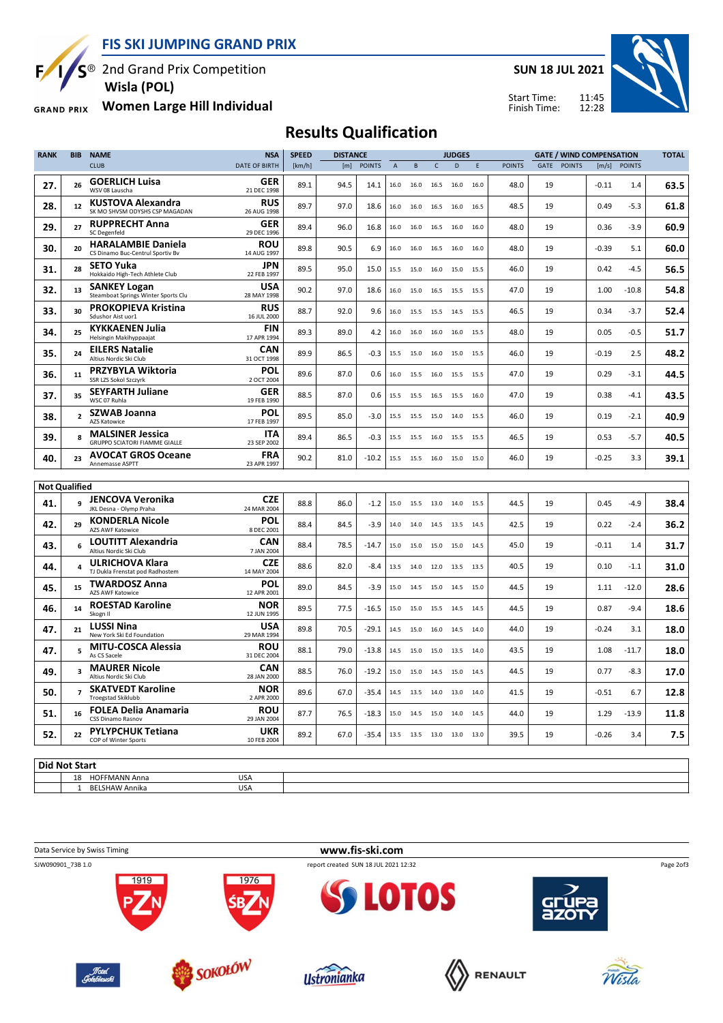**FIS SKI JUMPING GRAND PRIX**

 $\overline{S}^{\circledast}$  2nd Grand Prix Competition  $\mathbf{F}$ 

 **Wisla (POL)**

**Women Large Hill Individual GRAND PRIX** 

**SUN 18 JUL 2021**



11:45 12:28 Start Time: Finish Time:

## **Results Qualification**

| <b>RANK</b>        | <b>BIB</b>           | <b>NAME</b>                                                   | <b>NSA</b>                | <b>SPEED</b> | <b>DISTANCE</b> |               |                | <b>JUDGES</b> |              | <b>GATE / WIND COMPENSATION</b> |      |               | <b>TOTAL</b> |               |         |               |      |
|--------------------|----------------------|---------------------------------------------------------------|---------------------------|--------------|-----------------|---------------|----------------|---------------|--------------|---------------------------------|------|---------------|--------------|---------------|---------|---------------|------|
|                    |                      | <b>CLUB</b>                                                   | <b>DATE OF BIRTH</b>      | [km/h]       | [m]             | <b>POINTS</b> | $\overline{A}$ | B             | $\mathsf{C}$ | $\mathsf{D}$                    | E    | <b>POINTS</b> | GATE         | <b>POINTS</b> | [m/s]   | <b>POINTS</b> |      |
| 27.                | 26                   | <b>GOERLICH Luisa</b><br>WSV 08 Lauscha                       | GER<br>21 DEC 1998        | 89.1         | 94.5            | 14.1          | 16.0           | 16.0          | 16.5         | 16.0                            | 16.0 | 48.0          | 19           |               | $-0.11$ | 1.4           | 63.5 |
| 28.                | 12                   | KUSTOVA Alexandra<br>SK MO SHVSM ODYSHS CSP MAGADAN           | <b>RUS</b><br>26 AUG 1998 | 89.7         | 97.0            | 18.6          | 16.0           | 16.0          | 16.5         | 16.0                            | 16.5 | 48.5          | 19           |               | 0.49    | -5.3          | 61.8 |
| 29.                | 27                   | <b>RUPPRECHT Anna</b><br>SC Degenfeld                         | <b>GER</b><br>29 DEC 1996 | 89.4         | 96.0            | 16.8          | 16.0           | 16.0          |              | 16.5 16.0                       | 16.0 | 48.0          | 19           |               | 0.36    | $-3.9$        | 60.9 |
| 30.                | 20                   | <b>HARALAMBIE Daniela</b><br>CS Dinamo Buc-Centrul Sportiv Bv | <b>ROU</b><br>14 AUG 1997 | 89.8         | 90.5            | 6.9           | 16.0           | 16.0          | 16.5         | 16.0                            | 16.0 | 48.0          | 19           |               | $-0.39$ | 5.1           | 60.0 |
| 31.                | 28                   | <b>SETO Yuka</b><br>Hokkaido High-Tech Athlete Club           | <b>JPN</b><br>22 FEB 1997 | 89.5         | 95.0            | 15.0          | 15.5           | 15.0          | 16.0         | 15.0                            | 15.5 | 46.0          | 19           |               | 0.42    | $-4.5$        | 56.5 |
| 32.                | 13                   | <b>SANKEY Logan</b><br>Steamboat Springs Winter Sports Clu    | <b>USA</b><br>28 MAY 1998 | 90.2         | 97.0            | 18.6          | 16.0           | 15.0          | 16.5         | 15.5                            | 15.5 | 47.0          | 19           |               | 1.00    | $-10.8$       | 54.8 |
| 33.                | 30                   | <b>PROKOPIEVA Kristina</b><br>Sdushor Aist uor1               | <b>RUS</b><br>16 JUL 2000 | 88.7         | 92.0            | 9.6           | 16.0           | 15.5          | 15.5         | 14.5                            | 15.5 | 46.5          | 19           |               | 0.34    | $-3.7$        | 52.4 |
| 34.                | 25                   | <b>KYKKAENEN Julia</b><br>Helsingin Makihyppaajat             | FIN<br>17 APR 1994        | 89.3         | 89.0            | 4.2           | 16.0           | 16.0          | 16.0         | 16.0                            | 15.5 | 48.0          | 19           |               | 0.05    | $-0.5$        | 51.7 |
| 35.                | 24                   | <b>EILERS Natalie</b><br>Altius Nordic Ski Club               | <b>CAN</b><br>31 OCT 1998 | 89.9         | 86.5            | $-0.3$        | 15.5           | 15.0          | 16.0         | 15.0                            | 15.5 | 46.0          | 19           |               | $-0.19$ | 2.5           | 48.2 |
| 36.                | 11                   | <b>PRZYBYLA Wiktoria</b><br>SSR LZS Sokol Szczyrk             | <b>POL</b><br>2 OCT 2004  | 89.6         | 87.0            | 0.6           | 16.0           | 15.5          |              | 16.0 15.5                       | 15.5 | 47.0          | 19           |               | 0.29    | -3.1          | 44.5 |
| 37.                | 35                   | <b>SEYFARTH Juliane</b><br>WSC 07 Ruhla                       | <b>GER</b><br>19 FEB 1990 | 88.5         | 87.0            | 0.6           | 15.5           | 15.5          | 16.5         | 15.5                            | 16.0 | 47.0          | 19           |               | 0.38    | -4.1          | 43.5 |
| 38.                | $\overline{2}$       | SZWAB Joanna<br>AZS Katowice                                  | <b>POL</b><br>17 FEB 1997 | 89.5         | 85.0            | $-3.0$        | 15.5           | 15.5          |              | 15.0 14.0                       | 15.5 | 46.0          | 19           |               | 0.19    | $-2.1$        | 40.9 |
| 39.                | 8                    | <b>MALSINER Jessica</b><br>GRUPPO SCIATORI FIAMME GIALLE      | <b>ITA</b><br>23 SEP 2002 | 89.4         | 86.5            | $-0.3$        | 15.5           | 15.5          | 16.0         | 15.5                            | 15.5 | 46.5          | 19           |               | 0.53    | $-5.7$        | 40.5 |
| 40.                | 23                   | <b>AVOCAT GROS Oceane</b><br>Annemasse ASPTT                  | <b>FRA</b><br>23 APR 1997 | 90.2         | 81.0            | $-10.2$       |                | 15.5 15.5     | 16.0 15.0    |                                 | 15.0 | 46.0          | 19           |               | $-0.25$ | 3.3           | 39.1 |
|                    | <b>Not Qualified</b> |                                                               |                           |              |                 |               |                |               |              |                                 |      |               |              |               |         |               |      |
|                    |                      |                                                               |                           |              |                 |               |                |               |              |                                 |      |               |              |               |         |               |      |
| 41.                | 9                    | <b>JENCOVA Veronika</b><br>JKL Desna - Olymp Praha            | <b>CZE</b><br>24 MAR 2004 | 88.8         | 86.0            | $-1.2$        | 15.0           | 15.5          | 13.0 14.0    |                                 | 15.5 | 44.5          | 19           |               | 0.45    | $-4.9$        | 38.4 |
| 42.                | 29                   | <b>KONDERLA Nicole</b><br>AZS AWF Katowice                    | <b>POL</b><br>8 DEC 2001  | 88.4         | 84.5            | $-3.9$        | 14.0           | 14.0          | 14.5         | 13.5                            | 14.5 | 42.5          | 19           |               | 0.22    | $-2.4$        | 36.2 |
| 43.                | 6                    | <b>LOUTITT Alexandria</b><br>Altius Nordic Ski Club           | <b>CAN</b><br>7 JAN 2004  | 88.4         | 78.5            | $-14.7$       | 15.0           | 15.0          | 15.0 15.0    |                                 | 14.5 | 45.0          | 19           |               | $-0.11$ | 1.4           | 31.7 |
| 44.                | $\pmb{4}$            | <b>ULRICHOVA Klara</b><br>TJ Dukla Frenstat pod Radhostem     | <b>CZE</b><br>14 MAY 2004 | 88.6         | 82.0            | $-8.4$        | 13.5           | 14.0          | 12.0         | 13.5                            | 13.5 | 40.5          | 19           |               | 0.10    | $-1.1$        | 31.0 |
| 45.                | 15                   | <b>TWARDOSZ Anna</b><br>AZS AWF Katowice                      | POL<br>12 APR 2001        | 89.0         | 84.5            | $-3.9$        | 15.0           | 14.5          |              | 15.0 14.5                       | 15.0 | 44.5          | 19           |               | 1.11    | $-12.0$       | 28.6 |
| 46.                | 14                   | <b>ROESTAD Karoline</b><br>Skogn II                           | <b>NOR</b><br>12 JUN 1995 | 89.5         | 77.5            | $-16.5$       | 15.0           | 15.0          | 15.5         | 14.5                            | 14.5 | 44.5          | 19           |               | 0.87    | $-9.4$        | 18.6 |
| 47.                | 21                   | <b>LUSSI Nina</b><br>New York Ski Ed Foundation               | <b>USA</b><br>29 MAR 1994 | 89.8         | 70.5            | $-29.1$       | 14.5           | 15.0          |              | 16.0 14.5                       | 14.0 | 44.0          | 19           |               | $-0.24$ | 3.1           | 18.0 |
| 47.                | 5                    | <b>MITU-COSCA Alessia</b><br>As CS Sacele                     | <b>ROU</b><br>31 DEC 2004 | 88.1         | 79.0            | $-13.8$       | 14.5           | 15.0          | 15.0         | 13.5                            | 14.0 | 43.5          | 19           |               | 1.08    | $-11.7$       | 18.0 |
| 49.                | 3                    | <b>MAURER Nicole</b><br>Altius Nordic Ski Club                | CAN<br>28 JAN 2000        | 88.5         | 76.0            | $-19.2$       | 15.0           | 15.0          |              | 14.5 15.0                       | 14.5 | 44.5          | 19           |               | 0.77    | -8.3          | 17.0 |
| 50.                | $\overline{7}$       | <b>SKATVEDT Karoline</b><br><b>Troegstad Skiklubb</b>         | <b>NOR</b><br>2 APR 2000  | 89.6         | 67.0            | $-35.4$       | 14.5           | 13.5          | 14.0         | 13.0                            | 14.0 | 41.5          | 19           |               | $-0.51$ | 6.7           | 12.8 |
| 51.                | 16                   | FOLEA Delia Anamaria<br>CSS Dinamo Rasnov                     | <b>ROU</b><br>29 JAN 2004 | 87.7         | 76.5            | $-18.3$       | 15.0           | 14.5          | 15.0         | 14.0                            | 14.5 | 44.0          | 19           |               | 1.29    | $-13.9$       | 11.8 |
| 52.                | 22                   | <b>PYLYPCHUK Tetiana</b><br>COP of Winter Sports              | UKR<br>10 FEB 2004        | 89.2         | 67.0            | $-35.4$       | 13.5 13.5      |               |              | 13.0 13.0 13.0                  |      | 39.5          | 19           |               | $-0.26$ | 3.4           | 7.5  |
| والمحاوية والمحارب |                      |                                                               |                           |              |                 |               |                |               |              |                                 |      |               |              |               |         |               |      |

**Did Not Start** 18 HOFFMANN Anna USA<br>1 BELSHAW Annika USA 1 BELSHAW Annika